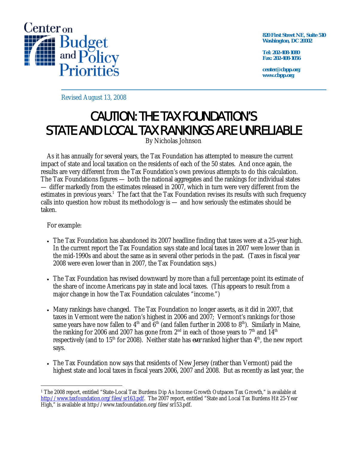

**820 First Street NE, Suite 510 Washington, DC 20002** 

**Tel: 202-408-1080 Fax: 202-408-1056** 

**center@cbpp.org www.cbpp.org** 

Revised August 13, 2008

## CAUTION: THE TAX FOUNDATION'S STATE AND LOCAL TAX RANKINGS ARE UNRELIABLE

By Nicholas Johnson

 As it has annually for several years, the Tax Foundation has attempted to measure the current impact of state and local taxation on the residents of each of the 50 states. And once again, the results are very different from the Tax Foundation's own previous attempts to do this calculation. The Tax Foundations figures — both the national aggregates and the rankings for individual states — differ markedly from the estimates released in 2007, which in turn were very different from the estimates in previous years.<sup>1</sup> The fact that the Tax Foundation revises its results with such frequency calls into question how robust its methodology is — and how seriously the estimates should be taken.

For example:

- The Tax Foundation has abandoned its 2007 headline finding that taxes were at a 25-year high. In the current report the Tax Foundation says state and local taxes in 2007 were lower than in the mid-1990s and about the same as in several other periods in the past. (Taxes in fiscal year 2008 were even lower than in 2007, the Tax Foundation says.)
- The Tax Foundation has revised downward by more than a full percentage point its estimate of the share of income Americans pay in state and local taxes. (This appears to result from a major change in how the Tax Foundation calculates "income.")
- Many rankings have changed. The Tax Foundation no longer asserts, as it did in 2007, that taxes in Vermont were the nation's highest in 2006 and 2007; Vermont's rankings for those same years have now fallen to  $4<sup>th</sup>$  and  $6<sup>th</sup>$  (and fallen further in 2008 to  $8<sup>th</sup>$ ). Similarly in Maine, the ranking for 2006 and 2007 has gone from  $2<sup>nd</sup>$  in each of those years to  $7<sup>th</sup>$  and  $14<sup>th</sup>$ respectively (and to 15<sup>th</sup> for 2008). Neither state has *ever* ranked higher than 4<sup>th</sup>, the new report says.
- The Tax Foundation now says that residents of New Jersey (rather than Vermont) paid the highest state and local taxes in fiscal years 2006, 2007 and 2008. But as recently as last year, the

 $\overline{a}$ <sup>1</sup> The 2008 report, entitled "State-Local Tax Burdens Dip As Income Growth Outpaces Tax Growth," is available at http://www.taxfoundation.org/files/sr163.pdf. The 2007 report, entitled "State and Local Tax Burdens Hit 25-Year High," is available at http://www.taxfoundation.org/files/sr153.pdf.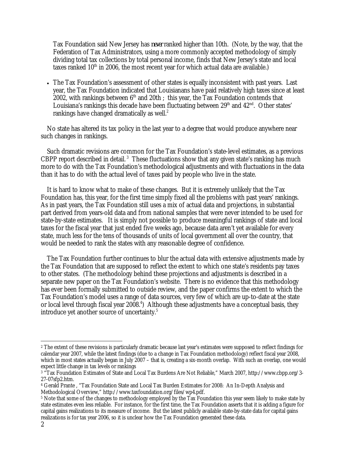Tax Foundation said New Jersey has *never* ranked higher than 10th. (Note, by the way, that the Federation of Tax Administrators, using a more commonly accepted methodology of simply dividing total tax collections by total personal income, finds that New Jersey's state and local taxes ranked  $10<sup>th</sup>$  in 2006, the most recent year for which actual data are available.)

• The Tax Foundation's assessment of other states is equally inconsistent with past years. Last year, the Tax Foundation indicated that Louisianans have paid relatively high taxes since at least 2002, with rankings between  $6<sup>th</sup>$  and 20th ; this year, the Tax Foundation contends that Louisiana's rankings this decade have been fluctuating between  $29<sup>th</sup>$  and  $42<sup>nd</sup>$ . Other states' rankings have changed dramatically as well.<sup>2</sup>

 No state has altered its tax policy in the last year to a degree that would produce anywhere near such changes in rankings.

 Such dramatic revisions are common for the Tax Foundation's state-level estimates, as a previous CBPP report described in detail.<sup>3</sup> These fluctuations show that any given state's ranking has much more to do with the Tax Foundation's methodological adjustments and with fluctuations in the data than it has to do with the actual level of taxes paid by people who live in the state.

 It is hard to know what to make of these changes. But it is extremely unlikely that the Tax Foundation has, this year, for the first time simply fixed all the problems with past years' rankings. As in past years, the Tax Foundation still uses a mix of actual data and projections, in substantial part derived from years-old data and from national samples that were never intended to be used for state-by-state estimates. It is simply not possible to produce meaningful rankings of state and local taxes for the fiscal year that just ended five weeks ago, because data aren't yet available for every state, much less for the tens of thousands of units of local government all over the country, that would be needed to rank the states with any reasonable degree of confidence.

 The Tax Foundation further continues to blur the actual data with extensive adjustments made by the Tax Foundation that are supposed to reflect the extent to which one state's residents pay taxes to other states. (The methodology behind these projections and adjustments is described in a separate new paper on the Tax Foundation's website. There is no evidence that this methodology has ever been formally submitted to outside review, and the paper confirms the extent to which the Tax Foundation's model uses a range of data sources, very few of which are up-to-date at the state or local level through fiscal year 2008.<sup>4</sup>) Although these adjustments have a conceptual basis, they introduce yet another source of uncertainty.<sup>5</sup>

-

<sup>&</sup>lt;sup>2</sup> The extent of these revisions is particularly dramatic because last year's estimates were supposed to reflect findings for calendar year 2007, while the latest findings (due to a change in Tax Foundation methodology) reflect fiscal year 2008, which in most states actually began in July 2007 – that is, creating a six-month overlap. With such an overlap, one would expect little change in tax levels or rankings

<sup>3 &</sup>quot;Tax Foundation Estimates of State and Local Tax Burdens Are Not Reliable," March 2007, http://www.cbpp.org/3- 27-07sfp2.htm.

<sup>4</sup> Gerald Prante , "Tax Foundation State and Local Tax Burden Estimates for 2008: An In-Depth Analysis and Methodological Overview," http://www.taxfoundation.org/files/wp4.pdf.

<sup>&</sup>lt;sup>5</sup> Note that some of the changes to methodology employed by the Tax Foundation this year seem likely to make state by state estimates even less reliable. For instance, for the first time, the Tax Foundation asserts that it is adding a figure for capital gains realizations to its measure of income. But the latest publicly available state-by-state data for capital gains realizations is for tax year 2006, so it is unclear how the Tax Foundation generated these data.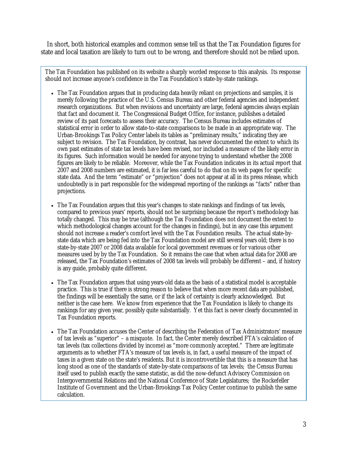In short, both historical examples and common sense tell us that the Tax Foundation figures for state and local taxation are likely to turn out to be wrong, and therefore should not be relied upon.

The Tax Foundation has published on its website a sharply worded response to this analysis. Its response should not increase anyone's confidence in the Tax Foundation's state-by-state rankings.

- The Tax Foundation argues that in producing data heavily reliant on projections and samples, it is merely following the practice of the U.S. Census Bureau and other federal agencies and independent research organizations. But when revisions and uncertainty are large, federal agencies always explain that fact and document it. The Congressional Budget Office, for instance, publishes a detailed review of its past forecasts to assess their accuracy. The Census Bureau includes estimates of statistical error in order to allow state-to-state comparisons to be made in an appropriate way. The Urban-Brookings Tax Policy Center labels its tables as "preliminary results," indicating they are subject to revision. The Tax Foundation, by contrast, has never documented the extent to which its own past estimates of state tax levels have been revised, nor included a measure of the likely error in its figures. Such information would be needed for anyone trying to understand whether the 2008 figures are likely to be reliable. Moreover, while the Tax Foundation indicates in its actual report that 2007 and 2008 numbers are estimated, it is far less careful to do that on its web pages for specific state data. And the term "estimate" or "projection" does not appear at all in its press release, which undoubtedly is in part responsible for the widespread reporting of the rankings as "facts" rather than projections.
- The Tax Foundation argues that this year's changes to state rankings and findings of tax levels, compared to previous years' reports, should not be surprising because the report's methodology has totally changed. This may be true (although the Tax Foundation does not document the extent to which methodological changes account for the changes in findings), but in any case this argument should not increase a reader's comfort level with the Tax Foundation results. The actual state-bystate data which are being fed into the Tax Foundation model are still several years old; there is no state-by-state 2007 or 2008 data available for local government revenues or for various other measures used by by the Tax Foundation. So it remains the case that when actual data for 2008 are released, the Tax Foundation's estimates of 2008 tax levels will probably be different – and, if history is any guide, probably quite different.
- The Tax Foundation argues that using years-old data as the basis of a statistical model is acceptable practice. This is true if there is strong reason to believe that when more recent data are published, the findings will be essentially the same, or if the lack of certainty is clearly acknowledged. But neither is the case here. We know from experience that the Tax Foundation is likely to change its rankings for any given year, possibly quite substantially. Yet this fact is never clearly documented in Tax Foundation reports.
- The Tax Foundation accuses the Center of describing the Federation of Tax Administrators' measure of tax levels as "superior" – a misquote. In fact, the Center merely described FTA's calculation of tax levels (tax collections divided by income) as "more commonly accepted." There are legitimate arguments as to whether FTA's measure of tax levels is, in fact, a useful measure of the impact of taxes in a given state on the state's residents. But it is incontrovertible that this is a measure that has long stood as one of the standards of state-by-state comparisons of tax levels; the Census Bureau itself used to publish exactly the same statistic, as did the now-defunct Advisory Commission on Intergovernmental Relations and the National Conference of State Legislatures; the Rockefeller Institute of Government and the Urban-Brookings Tax Policy Center continue to publish the same calculation.